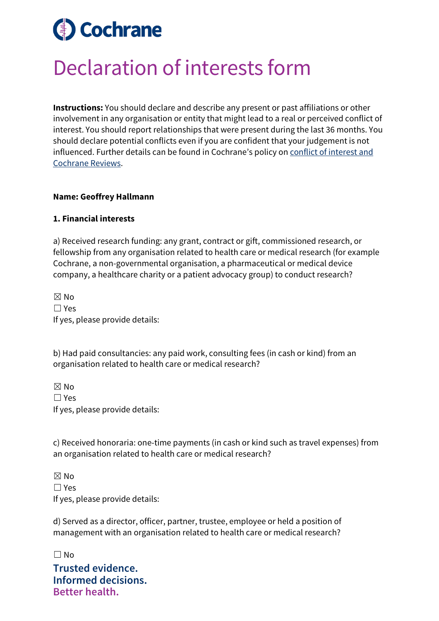# **Cochrane**

## Declaration of interests form

**Instructions:** You should declare and describe any present or past affiliations or other involvement in any organisation or entity that might lead to a real or perceived conflict of interest. You should report relationships that were present during the last 36 months. You should declare potential conflicts even if you are confident that your judgement is not influenced. Further details can be found in Cochrane's policy on [conflict of interest and](https://documentation.cochrane.org/display/EPPR/Policy%3A+conflicts+of+interest+and+Cochrane+Reviews)  [Cochrane Reviews.](https://documentation.cochrane.org/display/EPPR/Policy%3A+conflicts+of+interest+and+Cochrane+Reviews)

#### **Name: Geoffrey Hallmann**

#### **1. Financial interests**

a) Received research funding: any grant, contract or gift, commissioned research, or fellowship from any organisation related to health care or medical research (for example Cochrane, a non-governmental organisation, a pharmaceutical or medical device company, a healthcare charity or a patient advocacy group) to conduct research?

☒ No ☐ Yes If yes, please provide details:

b) Had paid consultancies: any paid work, consulting fees (in cash or kind) from an organisation related to health care or medical research?

☒ No ☐ Yes If yes, please provide details:

c) Received honoraria: one-time payments (in cash or kind such as travel expenses) from an organisation related to health care or medical research?

 $\boxtimes$  No ☐ Yes If yes, please provide details:

d) Served as a director, officer, partner, trustee, employee or held a position of management with an organisation related to health care or medical research?

**Trusted evidence. Informed decisions. Better health.** ☐ No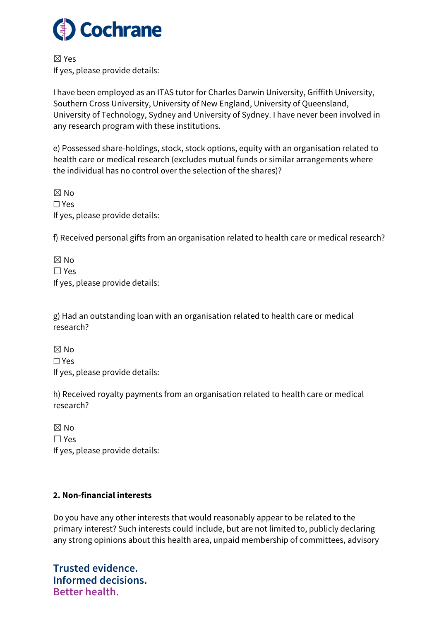

☒ Yes If yes, please provide details:

I have been employed as an ITAS tutor for Charles Darwin University, Griffith University, Southern Cross University, University of New England, University of Queensland, University of Technology, Sydney and University of Sydney. I have never been involved in any research program with these institutions.

e) Possessed share-holdings, stock, stock options, equity with an organisation related to health care or medical research (excludes mutual funds or similar arrangements where the individual has no control over the selection of the shares)?

☒ No ☐ Yes If yes, please provide details:

f) Received personal gifts from an organisation related to health care or medical research?

☒ No ☐ Yes If yes, please provide details:

g) Had an outstanding loan with an organisation related to health care or medical research?

 $\boxtimes$  No ☐ Yes If yes, please provide details:

h) Received royalty payments from an organisation related to health care or medical research?

 $\boxtimes$  No ☐ Yes If yes, please provide details:

### **2. Non-financial interests**

Do you have any other interests that would reasonably appear to be related to the primary interest? Such interests could include, but are not limited to, publicly declaring any strong opinions about this health area, unpaid membership of committees, advisory

**Trusted evidence. Informed decisions. Better health.**